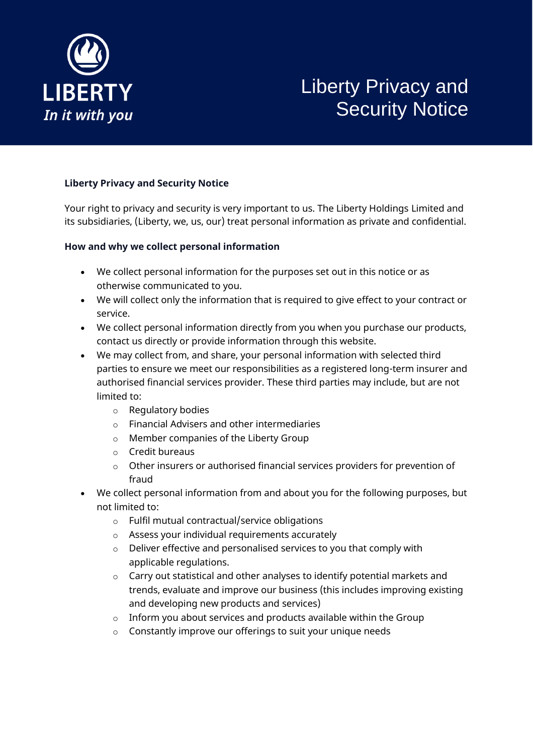

# Liberty Privacy and Security Notice

# **Liberty Privacy and Security Notice**

Your right to privacy and security is very important to us. The Liberty Holdings Limited and its subsidiaries, (Liberty, we, us, our) treat personal information as private and confidential.

#### **How and why we collect personal information**

- We collect personal information for the purposes set out in this notice or as otherwise communicated to you.
- We will collect only the information that is required to give effect to your contract or service.
- We collect personal information directly from you when you purchase our products, contact us directly or provide information through this website.
- We may collect from, and share, your personal information with selected third parties to ensure we meet our responsibilities as a registered long-term insurer and authorised financial services provider. These third parties may include, but are not limited to:
	- o Regulatory bodies
	- o Financial Advisers and other intermediaries
	- o Member companies of the Liberty Group
	- o Credit bureaus
	- o Other insurers or authorised financial services providers for prevention of fraud
- We collect personal information from and about you for the following purposes, but not limited to:
	- o Fulfil mutual contractual/service obligations
	- o Assess your individual requirements accurately
	- o Deliver effective and personalised services to you that comply with applicable regulations.
	- o Carry out statistical and other analyses to identify potential markets and trends, evaluate and improve our business (this includes improving existing and developing new products and services)
	- $\circ$  Inform you about services and products available within the Group
	- o Constantly improve our offerings to suit your unique needs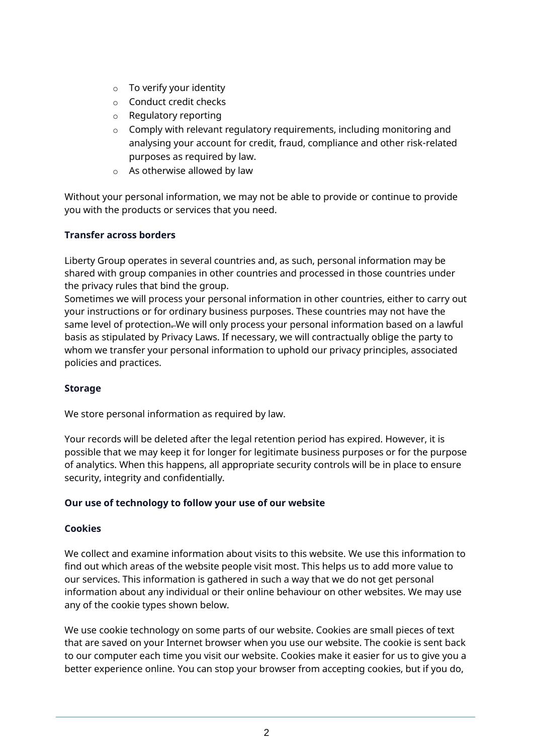- o To verify your identity
- o Conduct credit checks
- o Regulatory reporting
- o Comply with relevant regulatory requirements, including monitoring and analysing your account for credit, fraud, compliance and other risk-related purposes as required by law.
- o As otherwise allowed by law

Without your personal information, we may not be able to provide or continue to provide you with the products or services that you need.

## **Transfer across borders**

Liberty Group operates in several countries and, as such, personal information may be shared with group companies in other countries and processed in those countries under the privacy rules that bind the group.

Sometimes we will process your personal information in other countries, either to carry out your instructions or for ordinary business purposes. These countries may not have the same level of protection. We will only process your personal information based on a lawful basis as stipulated by Privacy Laws. If necessary, we will contractually oblige the party to whom we transfer your personal information to uphold our privacy principles, associated policies and practices.

#### **Storage**

We store personal information as required by law.

Your records will be deleted after the legal retention period has expired. However, it is possible that we may keep it for longer for legitimate business purposes or for the purpose of analytics. When this happens, all appropriate security controls will be in place to ensure security, integrity and confidentially.

#### **Our use of technology to follow your use of our website**

#### **Cookies**

We collect and examine information about visits to this website. We use this information to find out which areas of the website people visit most. This helps us to add more value to our services. This information is gathered in such a way that we do not get personal information about any individual or their online behaviour on other websites. We may use any of the cookie types shown below.

We use cookie technology on some parts of our website. Cookies are small pieces of text that are saved on your Internet browser when you use our website. The cookie is sent back to our computer each time you visit our website. Cookies make it easier for us to give you a better experience online. You can stop your browser from accepting cookies, but if you do,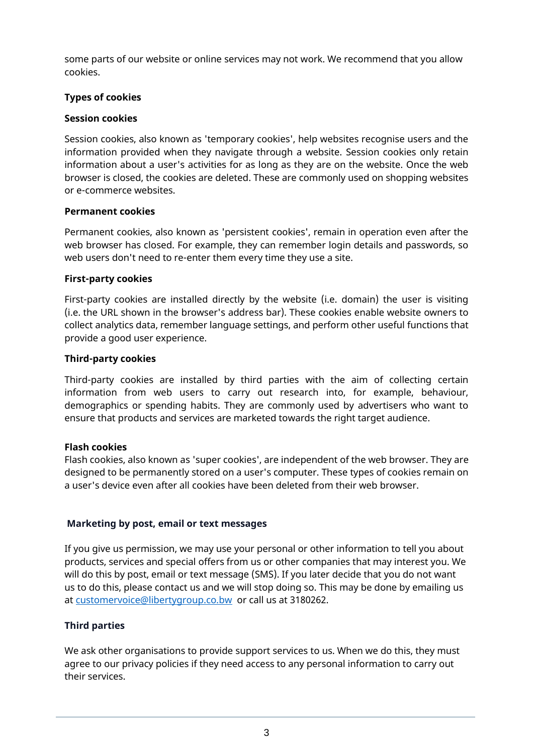some parts of our website or online services may not work. We recommend that you allow cookies.

#### **Types of cookies**

#### **Session cookies**

Session cookies, also known as 'temporary cookies', help websites recognise users and the information provided when they navigate through a website. Session cookies only retain information about a user's activities for as long as they are on the website. Once the web browser is closed, the cookies are deleted. These are commonly used on shopping websites or e-commerce websites.

#### **Permanent cookies**

Permanent cookies, also known as 'persistent cookies', remain in operation even after the web browser has closed. For example, they can remember login details and passwords, so web users don't need to re-enter them every time they use a site.

## **First-party cookies**

First-party cookies are installed directly by the website (i.e. domain) the user is visiting (i.e. the URL shown in the browser's address bar). These cookies enable website owners to collect analytics data, remember language settings, and perform other useful functions that provide a good user experience.

## **Third-party cookies**

Third-party cookies are installed by third parties with the aim of collecting certain information from web users to carry out research into, for example, behaviour, demographics or spending habits. They are commonly used by advertisers who want to ensure that products and services are marketed towards the right target audience.

#### **Flash cookies**

Flash cookies, also known as 'super cookies', are independent of the web browser. They are designed to be permanently stored on a user's computer. These types of cookies remain on a user's device even after all cookies have been deleted from their web browser.

# **Marketing by post, email or text messages**

If you give us permission, we may use your personal or other information to tell you about products, services and special offers from us or other companies that may interest you. We will do this by post, email or text message (SMS). If you later decide that you do not want us to do this, please contact us and we will stop doing so. This may be done by emailing us at [customervoice@libertygroup.co.bw](mailto:customervoice@libertygroup.co.bw) or call us at 3180262.

# **Third parties**

We ask other organisations to provide support services to us. When we do this, they must agree to our privacy policies if they need access to any personal information to carry out their services.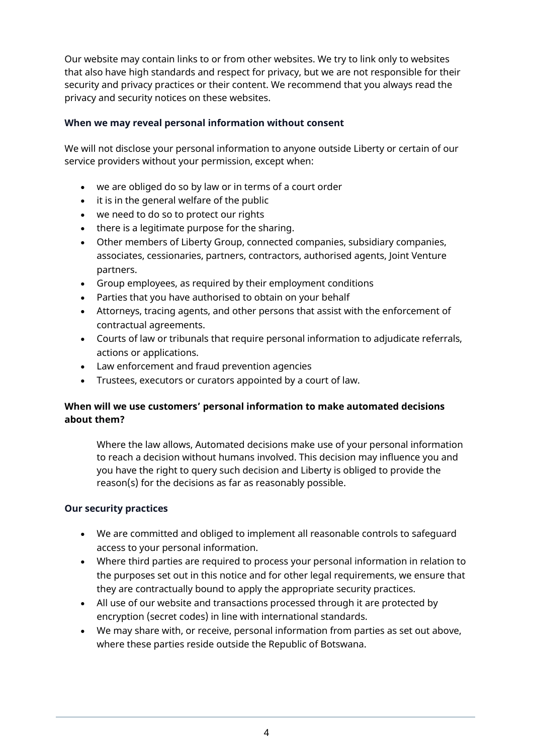Our website may contain links to or from other websites. We try to link only to websites that also have high standards and respect for privacy, but we are not responsible for their security and privacy practices or their content. We recommend that you always read the privacy and security notices on these websites.

#### **When we may reveal personal information without consent**

We will not disclose your personal information to anyone outside Liberty or certain of our service providers without your permission, except when:

- we are obliged do so by law or in terms of a court order
- it is in the general welfare of the public
- we need to do so to protect our rights
- there is a legitimate purpose for the sharing.
- Other members of Liberty Group, connected companies, subsidiary companies, associates, cessionaries, partners, contractors, authorised agents, Joint Venture partners.
- Group employees, as required by their employment conditions
- Parties that you have authorised to obtain on your behalf
- Attorneys, tracing agents, and other persons that assist with the enforcement of contractual agreements.
- Courts of law or tribunals that require personal information to adjudicate referrals, actions or applications.
- Law enforcement and fraud prevention agencies
- Trustees, executors or curators appointed by a court of law.

## **When will we use customers' personal information to make automated decisions about them?**

Where the law allows, Automated decisions make use of your personal information to reach a decision without humans involved. This decision may influence you and you have the right to query such decision and Liberty is obliged to provide the reason(s) for the decisions as far as reasonably possible.

#### **Our security practices**

- We are committed and obliged to implement all reasonable controls to safeguard access to your personal information.
- Where third parties are required to process your personal information in relation to the purposes set out in this notice and for other legal requirements, we ensure that they are contractually bound to apply the appropriate security practices.
- All use of our website and transactions processed through it are protected by encryption (secret codes) in line with international standards.
- We may share with, or receive, personal information from parties as set out above, where these parties reside outside the Republic of Botswana.